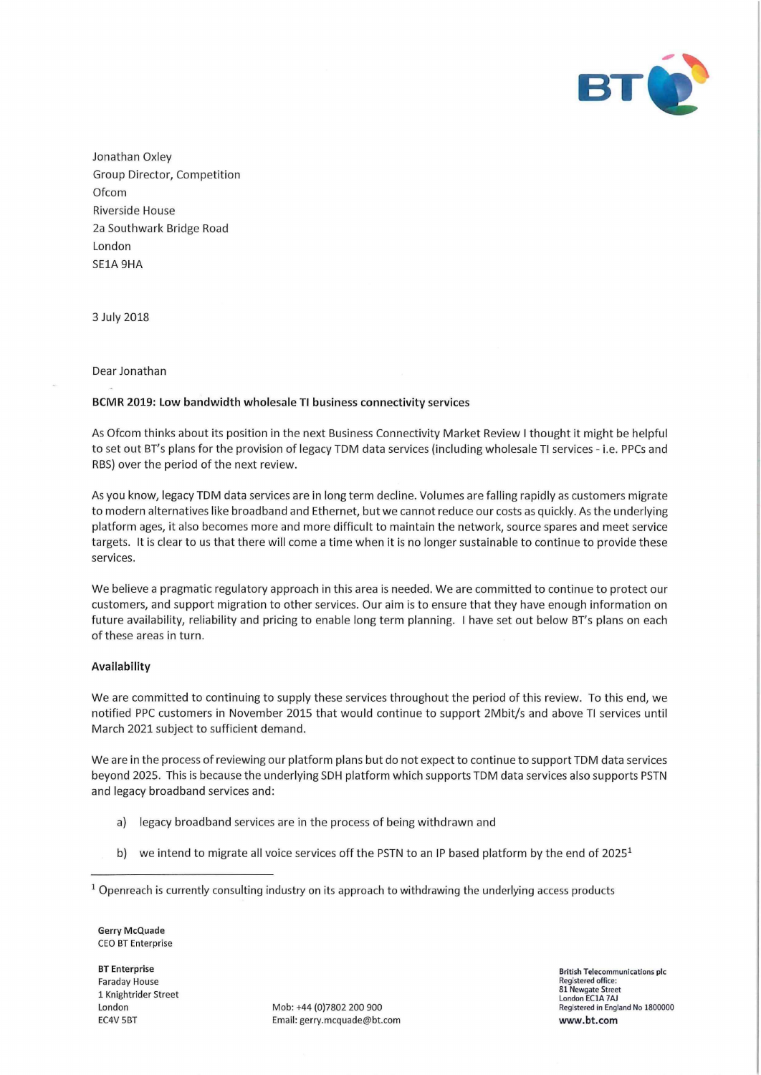

Jonathan Oxley Group Director, Competition **Of com** Riverside House 2a Southwark Bridge Road London SE1A 9HA

3 July 2018

# Dear Jonathan

## BCMR 2019: Low bandwidth wholesale TI business connectivity services

As Ofcom thinks about its position in the next Business Connectivity Market Review I thought it might be helpful to set out BT's plans for the provision of legacy TDM data services (including wholesale TI services - i.e. PPCs and RBS) over the period of the next review.

As you know, legacy TDM data services are in long term decline. Volumes are falling rapidly as customers migrate to modern alternatives like broadband and Ethernet, but we cannot reduce our costs as quickly. As the underlying platform ages, it also becomes more and more difficult to maintain the network, source spares and meet service targets. It is clear to us that there will come a time when it is no longer sustainable to continue to provide these services.

We believe a pragmatic regulatory approach in this area is needed. We are committed to continue to protect our customers, and support migration to other services. Our aim is to ensure that they have enough information on future availability, reliability and pricing to enable long term planning. I have set out below BT's plans on each of these areas in turn.

#### Availability

We are committed to continuing to supply these services throughout the period of this review. To this end, we notified PPG customers in November 2015 that would continue to support 2Mbit/s and above Tl services until March 2021 subject to sufficient demand.

We are in the process of reviewing our platform plans but do not expect to continue to support TDM data services beyond 2025. This is because the underlying SDH platform which supports TDM data services also supports PSTN and legacy broadband services and:

- a) legacy broadband services are in the process of being withdrawn and
- b) we intend to migrate all voice services off the PSTN to an IP based platform by the end of  $2025<sup>1</sup>$
- <sup>1</sup> Openreach is currently consulting industry on its approach to withdrawing the underlying access products

Gerry McQuade CEO BT Enterprise

BT Enterprise Faraday House 1 Knightrider Street

London Mob: +44 (0)7802 200 900<br>FC4V 5BT Fmail: eerry mcquade@bt. Email: gerry.mcquade@bt.com British Telecommunications pic Registered office: 81 Newgate Street London EC1A 7AJ Registered in England No 1800000 www.bt.com